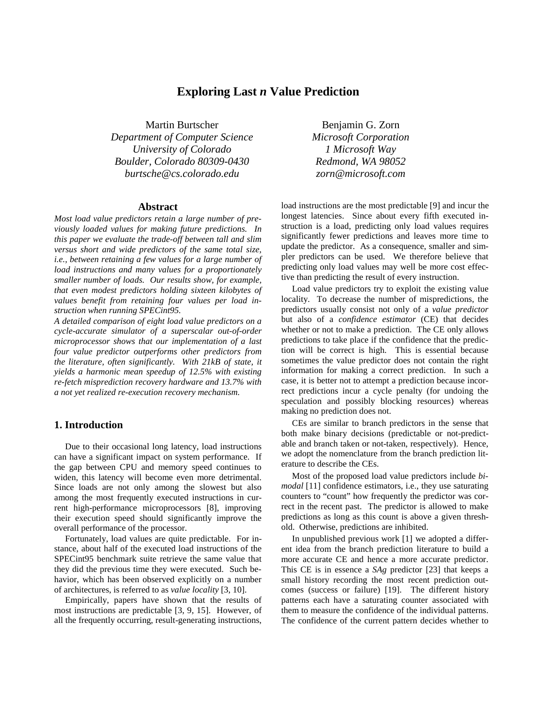# **Exploring Last** *n* **Value Prediction**

Martin Burtscher Benjamin G. Zorn *Department of Computer Science Microsoft Corporation University of Colorado 1 Microsoft Way Boulder, Colorado 80309-0430 Redmond, WA 98052 burtsche@cs.colorado.edu zorn@microsoft.com*

### **Abstract**

*Most load value predictors retain a large number of previously loaded values for making future predictions. In this paper we evaluate the trade-off between tall and slim versus short and wide predictors of the same total size, i.e., between retaining a few values for a large number of load instructions and many values for a proportionately smaller number of loads. Our results show, for example, that even modest predictors holding sixteen kilobytes of values benefit from retaining four values per load instruction when running SPECint95.*

*A detailed comparison of eight load value predictors on a cycle-accurate simulator of a superscalar out-of-order microprocessor shows that our implementation of a last four value predictor outperforms other predictors from the literature, often significantly. With 21kB of state, it yields a harmonic mean speedup of 12.5% with existing re-fetch misprediction recovery hardware and 13.7% with a not yet realized re-execution recovery mechanism.*

# **1. Introduction**

Due to their occasional long latency, load instructions can have a significant impact on system performance. If the gap between CPU and memory speed continues to widen, this latency will become even more detrimental. Since loads are not only among the slowest but also among the most frequently executed instructions in current high-performance microprocessors [8], improving their execution speed should significantly improve the overall performance of the processor.

Fortunately, load values are quite predictable. For instance, about half of the executed load instructions of the SPECint95 benchmark suite retrieve the same value that they did the previous time they were executed. Such behavior, which has been observed explicitly on a number of architectures, is referred to as *value locality* [3, 10].

Empirically, papers have shown that the results of most instructions are predictable [3, 9, 15]. However, of all the frequently occurring, result-generating instructions,

load instructions are the most predictable [9] and incur the longest latencies. Since about every fifth executed instruction is a load, predicting only load values requires significantly fewer predictions and leaves more time to update the predictor. As a consequence, smaller and simpler predictors can be used. We therefore believe that predicting only load values may well be more cost effective than predicting the result of every instruction.

Load value predictors try to exploit the existing value locality. To decrease the number of mispredictions, the predictors usually consist not only of a *value predictor* but also of a *confidence estimator* (CE) that decides whether or not to make a prediction. The CE only allows predictions to take place if the confidence that the prediction will be correct is high. This is essential because sometimes the value predictor does not contain the right information for making a correct prediction. In such a case, it is better not to attempt a prediction because incorrect predictions incur a cycle penalty (for undoing the speculation and possibly blocking resources) whereas making no prediction does not.

CEs are similar to branch predictors in the sense that both make binary decisions (predictable or not-predictable and branch taken or not-taken, respectively). Hence, we adopt the nomenclature from the branch prediction literature to describe the CEs.

Most of the proposed load value predictors include *bimodal* [11] confidence estimators, i.e., they use saturating counters to "count" how frequently the predictor was correct in the recent past. The predictor is allowed to make predictions as long as this count is above a given threshold. Otherwise, predictions are inhibited.

In unpublished previous work [1] we adopted a different idea from the branch prediction literature to build a more accurate CE and hence a more accurate predictor. This CE is in essence a *SAg* predictor [23] that keeps a small history recording the most recent prediction outcomes (success or failure) [19]. The different history patterns each have a saturating counter associated with them to measure the confidence of the individual patterns. The confidence of the current pattern decides whether to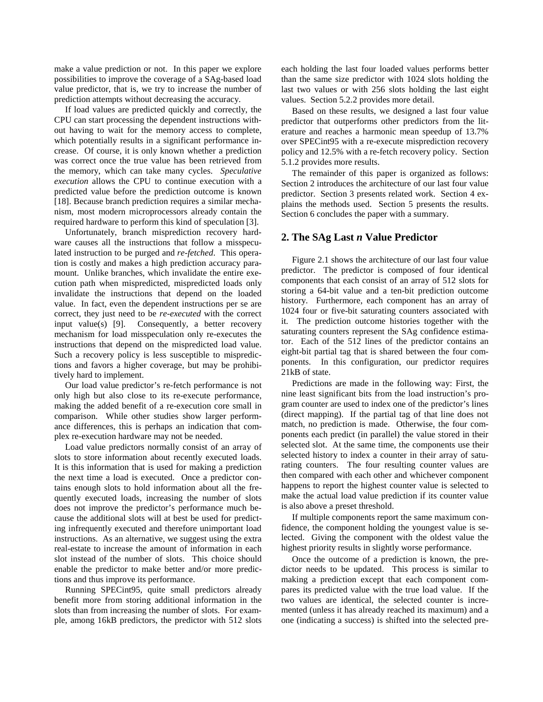make a value prediction or not. In this paper we explore possibilities to improve the coverage of a SAg-based load value predictor, that is, we try to increase the number of prediction attempts without decreasing the accuracy.

If load values are predicted quickly and correctly, the CPU can start processing the dependent instructions without having to wait for the memory access to complete, which potentially results in a significant performance increase. Of course, it is only known whether a prediction was correct once the true value has been retrieved from the memory, which can take many cycles. *Speculative execution* allows the CPU to continue execution with a predicted value before the prediction outcome is known [18]. Because branch prediction requires a similar mechanism, most modern microprocessors already contain the required hardware to perform this kind of speculation [3].

Unfortunately, branch misprediction recovery hardware causes all the instructions that follow a misspeculated instruction to be purged and *re-fetched*. This operation is costly and makes a high prediction accuracy paramount. Unlike branches, which invalidate the entire execution path when mispredicted, mispredicted loads only invalidate the instructions that depend on the loaded value. In fact, even the dependent instructions per se are correct, they just need to be *re-executed* with the correct input value(s) [9]. Consequently, a better recovery mechanism for load misspeculation only re-executes the instructions that depend on the mispredicted load value. Such a recovery policy is less susceptible to mispredictions and favors a higher coverage, but may be prohibitively hard to implement.

Our load value predictor's re-fetch performance is not only high but also close to its re-execute performance, making the added benefit of a re-execution core small in comparison. While other studies show larger performance differences, this is perhaps an indication that complex re-execution hardware may not be needed.

Load value predictors normally consist of an array of slots to store information about recently executed loads. It is this information that is used for making a prediction the next time a load is executed. Once a predictor contains enough slots to hold information about all the frequently executed loads, increasing the number of slots does not improve the predictor's performance much because the additional slots will at best be used for predicting infrequently executed and therefore unimportant load instructions. As an alternative, we suggest using the extra real-estate to increase the amount of information in each slot instead of the number of slots. This choice should enable the predictor to make better and/or more predictions and thus improve its performance.

Running SPECint95, quite small predictors already benefit more from storing additional information in the slots than from increasing the number of slots. For example, among 16kB predictors, the predictor with 512 slots

each holding the last four loaded values performs better than the same size predictor with 1024 slots holding the last two values or with 256 slots holding the last eight values. Section 5.2.2 provides more detail.

Based on these results, we designed a last four value predictor that outperforms other predictors from the literature and reaches a harmonic mean speedup of 13.7% over SPECint95 with a re-execute misprediction recovery policy and 12.5% with a re-fetch recovery policy. Section 5.1.2 provides more results.

The remainder of this paper is organized as follows: Section 2 introduces the architecture of our last four value predictor. Section 3 presents related work. Section 4 explains the methods used. Section 5 presents the results. Section 6 concludes the paper with a summary.

### **2. The SAg Last** *n* **Value Predictor**

Figure 2.1 shows the architecture of our last four value predictor. The predictor is composed of four identical components that each consist of an array of 512 slots for storing a 64-bit value and a ten-bit prediction outcome history. Furthermore, each component has an array of 1024 four or five-bit saturating counters associated with it. The prediction outcome histories together with the saturating counters represent the SAg confidence estimator. Each of the 512 lines of the predictor contains an eight-bit partial tag that is shared between the four components. In this configuration, our predictor requires 21kB of state.

Predictions are made in the following way: First, the nine least significant bits from the load instruction's program counter are used to index one of the predictor's lines (direct mapping). If the partial tag of that line does not match, no prediction is made. Otherwise, the four components each predict (in parallel) the value stored in their selected slot. At the same time, the components use their selected history to index a counter in their array of saturating counters. The four resulting counter values are then compared with each other and whichever component happens to report the highest counter value is selected to make the actual load value prediction if its counter value is also above a preset threshold.

If multiple components report the same maximum confidence, the component holding the youngest value is selected. Giving the component with the oldest value the highest priority results in slightly worse performance.

Once the outcome of a prediction is known, the predictor needs to be updated. This process is similar to making a prediction except that each component compares its predicted value with the true load value. If the two values are identical, the selected counter is incremented (unless it has already reached its maximum) and a one (indicating a success) is shifted into the selected pre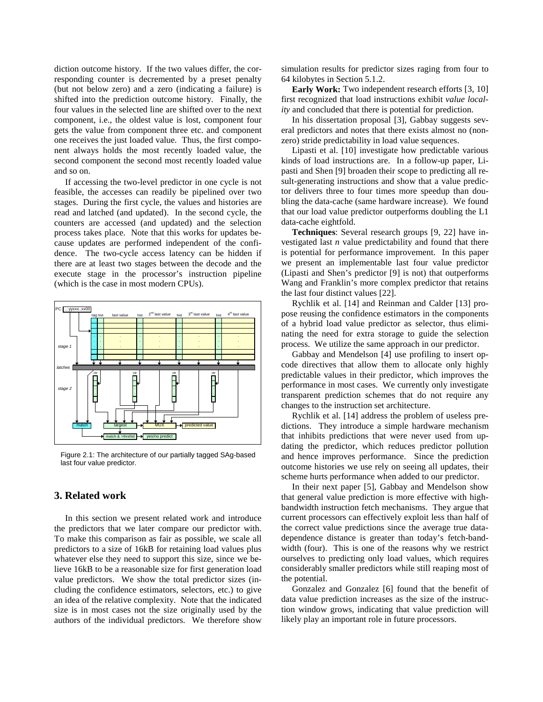diction outcome history. If the two values differ, the corresponding counter is decremented by a preset penalty (but not below zero) and a zero (indicating a failure) is shifted into the prediction outcome history. Finally, the four values in the selected line are shifted over to the next component, i.e., the oldest value is lost, component four gets the value from component three etc. and component one receives the just loaded value. Thus, the first component always holds the most recently loaded value, the second component the second most recently loaded value and so on.

If accessing the two-level predictor in one cycle is not feasible, the accesses can readily be pipelined over two stages. During the first cycle, the values and histories are read and latched (and updated). In the second cycle, the counters are accessed (and updated) and the selection process takes place. Note that this works for updates because updates are performed independent of the confidence. The two-cycle access latency can be hidden if there are at least two stages between the decode and the execute stage in the processor's instruction pipeline (which is the case in most modern CPUs).



Figure 2.1: The architecture of our partially tagged SAg-based last four value predictor.

# **3. Related work**

In this section we present related work and introduce the predictors that we later compare our predictor with. To make this comparison as fair as possible, we scale all predictors to a size of 16kB for retaining load values plus whatever else they need to support this size, since we believe 16kB to be a reasonable size for first generation load value predictors. We show the total predictor sizes (including the confidence estimators, selectors, etc.) to give an idea of the relative complexity. Note that the indicated size is in most cases not the size originally used by the authors of the individual predictors. We therefore show

simulation results for predictor sizes raging from four to 64 kilobytes in Section 5.1.2.

**Early Work:** Two independent research efforts [3, 10] first recognized that load instructions exhibit *value locality* and concluded that there is potential for prediction.

In his dissertation proposal [3], Gabbay suggests several predictors and notes that there exists almost no (nonzero) stride predictability in load value sequences.

Lipasti et al. [10] investigate how predictable various kinds of load instructions are. In a follow-up paper, Lipasti and Shen [9] broaden their scope to predicting all result-generating instructions and show that a value predictor delivers three to four times more speedup than doubling the data-cache (same hardware increase). We found that our load value predictor outperforms doubling the L1 data-cache eightfold.

**Techniques**: Several research groups [9, 22] have investigated last *n* value predictability and found that there is potential for performance improvement. In this paper we present an implementable last four value predictor (Lipasti and Shen's predictor [9] is not) that outperforms Wang and Franklin's more complex predictor that retains the last four distinct values [22].

Rychlik et al. [14] and Reinman and Calder [13] propose reusing the confidence estimators in the components of a hybrid load value predictor as selector, thus eliminating the need for extra storage to guide the selection process. We utilize the same approach in our predictor.

Gabbay and Mendelson [4] use profiling to insert opcode directives that allow them to allocate only highly predictable values in their predictor, which improves the performance in most cases. We currently only investigate transparent prediction schemes that do not require any changes to the instruction set architecture.

Rychlik et al. [14] address the problem of useless predictions. They introduce a simple hardware mechanism that inhibits predictions that were never used from updating the predictor, which reduces predictor pollution and hence improves performance. Since the prediction outcome histories we use rely on seeing all updates, their scheme hurts performance when added to our predictor.

In their next paper [5], Gabbay and Mendelson show that general value prediction is more effective with highbandwidth instruction fetch mechanisms. They argue that current processors can effectively exploit less than half of the correct value predictions since the average true datadependence distance is greater than today's fetch-bandwidth (four). This is one of the reasons why we restrict ourselves to predicting only load values, which requires considerably smaller predictors while still reaping most of the potential.

Gonzalez and Gonzalez [6] found that the benefit of data value prediction increases as the size of the instruction window grows, indicating that value prediction will likely play an important role in future processors.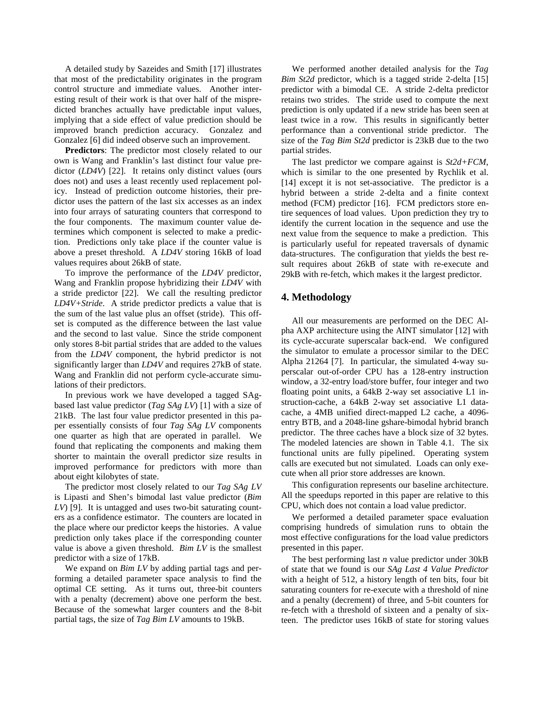A detailed study by Sazeides and Smith [17] illustrates that most of the predictability originates in the program control structure and immediate values. Another interesting result of their work is that over half of the mispredicted branches actually have predictable input values, implying that a side effect of value prediction should be improved branch prediction accuracy. Gonzalez and Gonzalez [6] did indeed observe such an improvement.

**Predictors**: The predictor most closely related to our own is Wang and Franklin's last distinct four value predictor (*LD4V*) [22]. It retains only distinct values (ours does not) and uses a least recently used replacement policy. Instead of prediction outcome histories, their predictor uses the pattern of the last six accesses as an index into four arrays of saturating counters that correspond to the four components. The maximum counter value determines which component is selected to make a prediction. Predictions only take place if the counter value is above a preset threshold. A *LD4V* storing 16kB of load values requires about 26kB of state.

To improve the performance of the *LD4V* predictor, Wang and Franklin propose hybridizing their *LD4V* with a stride predictor [22]. We call the resulting predictor *LD4V+Stride*. A stride predictor predicts a value that is the sum of the last value plus an offset (stride). This offset is computed as the difference between the last value and the second to last value. Since the stride component only stores 8-bit partial strides that are added to the values from the *LD4V* component, the hybrid predictor is not significantly larger than *LD4V* and requires 27kB of state. Wang and Franklin did not perform cycle-accurate simulations of their predictors.

In previous work we have developed a tagged SAgbased last value predictor (*Tag SAg LV*) [1] with a size of 21kB. The last four value predictor presented in this paper essentially consists of four *Tag SAg LV* components one quarter as high that are operated in parallel. We found that replicating the components and making them shorter to maintain the overall predictor size results in improved performance for predictors with more than about eight kilobytes of state.

The predictor most closely related to our *Tag SAg LV* is Lipasti and Shen's bimodal last value predictor (*Bim LV*) [9]. It is untagged and uses two-bit saturating counters as a confidence estimator. The counters are located in the place where our predictor keeps the histories. A value prediction only takes place if the corresponding counter value is above a given threshold. *Bim LV* is the smallest predictor with a size of 17kB.

We expand on *Bim LV* by adding partial tags and performing a detailed parameter space analysis to find the optimal CE setting. As it turns out, three-bit counters with a penalty (decrement) above one perform the best. Because of the somewhat larger counters and the 8-bit partial tags, the size of *Tag Bim LV* amounts to 19kB.

We performed another detailed analysis for the *Tag Bim St2d* predictor, which is a tagged stride 2-delta [15] predictor with a bimodal CE. A stride 2-delta predictor retains two strides. The stride used to compute the next prediction is only updated if a new stride has been seen at least twice in a row. This results in significantly better performance than a conventional stride predictor. The size of the *Tag Bim St2d* predictor is 23kB due to the two partial strides.

The last predictor we compare against is *St2d+FCM*, which is similar to the one presented by Rychlik et al. [14] except it is not set-associative. The predictor is a hybrid between a stride 2-delta and a finite context method (FCM) predictor [16]. FCM predictors store entire sequences of load values. Upon prediction they try to identify the current location in the sequence and use the next value from the sequence to make a prediction. This is particularly useful for repeated traversals of dynamic data-structures. The configuration that yields the best result requires about 26kB of state with re-execute and 29kB with re-fetch, which makes it the largest predictor.

# **4. Methodology**

All our measurements are performed on the DEC Alpha AXP architecture using the AINT simulator [12] with its cycle-accurate superscalar back-end. We configured the simulator to emulate a processor similar to the DEC Alpha 21264 [7]. In particular, the simulated 4-way superscalar out-of-order CPU has a 128-entry instruction window, a 32-entry load/store buffer, four integer and two floating point units, a 64kB 2-way set associative L1 instruction-cache, a 64kB 2-way set associative L1 datacache, a 4MB unified direct-mapped L2 cache, a 4096 entry BTB, and a 2048-line gshare-bimodal hybrid branch predictor. The three caches have a block size of 32 bytes. The modeled latencies are shown in Table 4.1. The six functional units are fully pipelined. Operating system calls are executed but not simulated. Loads can only execute when all prior store addresses are known.

This configuration represents our baseline architecture. All the speedups reported in this paper are relative to this CPU, which does not contain a load value predictor.

We performed a detailed parameter space evaluation comprising hundreds of simulation runs to obtain the most effective configurations for the load value predictors presented in this paper.

The best performing last *n* value predictor under 30kB of state that we found is our *SAg Last 4 Value Predictor* with a height of 512, a history length of ten bits, four bit saturating counters for re-execute with a threshold of nine and a penalty (decrement) of three, and 5-bit counters for re-fetch with a threshold of sixteen and a penalty of sixteen. The predictor uses 16kB of state for storing values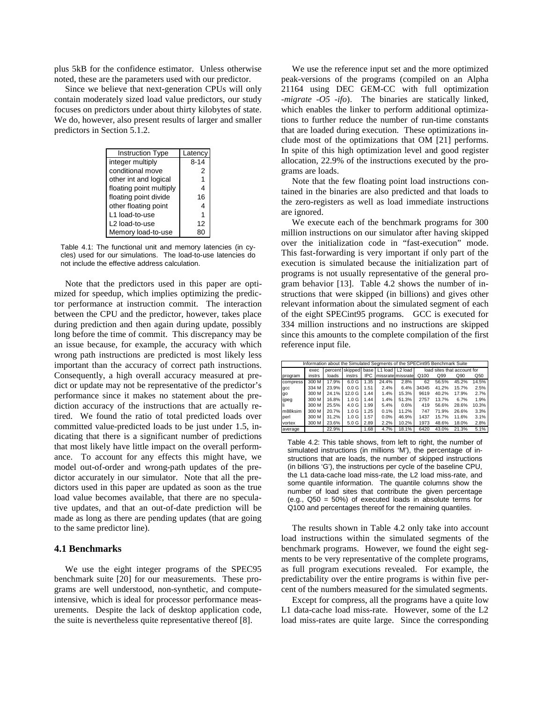plus 5kB for the confidence estimator. Unless otherwise noted, these are the parameters used with our predictor.

Since we believe that next-generation CPUs will only contain moderately sized load value predictors, our study focuses on predictors under about thirty kilobytes of state. We do, however, also present results of larger and smaller predictors in Section 5.1.2.

| <b>Instruction Type</b> | Latency  |  |  |
|-------------------------|----------|--|--|
| integer multiply        | $8 - 14$ |  |  |
| conditional move        | 2        |  |  |
| other int and logical   |          |  |  |
| floating point multiply |          |  |  |
| floating point divide   | 16       |  |  |
| other floating point    | 4        |  |  |
| L1 load-to-use          |          |  |  |
| L2 load-to-use          | 12       |  |  |
| Memory load-to-use      |          |  |  |

Table 4.1: The functional unit and memory latencies (in cycles) used for our simulations. The load-to-use latencies do not include the effective address calculation.

Note that the predictors used in this paper are optimized for speedup, which implies optimizing the predictor performance at instruction commit. The interaction between the CPU and the predictor, however, takes place during prediction and then again during update, possibly long before the time of commit. This discrepancy may be an issue because, for example, the accuracy with which wrong path instructions are predicted is most likely less important than the accuracy of correct path instructions. Consequently, a high overall accuracy measured at predict or update may not be representative of the predictor's performance since it makes no statement about the prediction accuracy of the instructions that are actually retired. We found the ratio of total predicted loads over committed value-predicted loads to be just under 1.5, indicating that there is a significant number of predictions that most likely have little impact on the overall performance. To account for any effects this might have, we model out-of-order and wrong-path updates of the predictor accurately in our simulator. Note that all the predictors used in this paper are updated as soon as the true load value becomes available, that there are no speculative updates, and that an out-of-date prediction will be made as long as there are pending updates (that are going to the same predictor line).

# **4.1 Benchmarks**

We use the eight integer programs of the SPEC95 benchmark suite [20] for our measurements. These programs are well understood, non-synthetic, and computeintensive, which is ideal for processor performance measurements. Despite the lack of desktop application code, the suite is nevertheless quite representative thereof [8].

We use the reference input set and the more optimized peak-versions of the programs (compiled on an Alpha 21164 using DEC GEM-CC with full optimization *-migrate -O5 -ifo*). The binaries are statically linked, which enables the linker to perform additional optimizations to further reduce the number of run-time constants that are loaded during execution. These optimizations include most of the optimizations that OM [21] performs. In spite of this high optimization level and good register allocation, 22.9% of the instructions executed by the programs are loads.

Note that the few floating point load instructions contained in the binaries are also predicted and that loads to the zero-registers as well as load immediate instructions are ignored.

We execute each of the benchmark programs for 300 million instructions on our simulator after having skipped over the initialization code in "fast-execution" mode. This fast-forwarding is very important if only part of the execution is simulated because the initialization part of programs is not usually representative of the general program behavior [13]. Table 4.2 shows the number of instructions that were skipped (in billions) and gives other relevant information about the simulated segment of each of the eight SPECint95 programs. GCC is executed for 334 million instructions and no instructions are skipped since this amounts to the complete compilation of the first reference input file.

| Information about the Simulated Segments of the SPECint95 Benchmark Suite |        |         |                  |            |       |                              |                             |       |       |                 |  |
|---------------------------------------------------------------------------|--------|---------|------------------|------------|-------|------------------------------|-----------------------------|-------|-------|-----------------|--|
|                                                                           | exec   | percent |                  |            |       | skipped base L1 load L2 load | load sites that account for |       |       |                 |  |
| program                                                                   | instrs | loads   | instrs           | <b>IPC</b> |       | missrate missrate            | Q100                        | Q99   | Q90   | Q <sub>50</sub> |  |
| compress                                                                  | 300 M  | 17.9%   | 6.0 G            | 1.35       | 24.4% | 2.8%                         | 62                          | 56.5% | 45.2% | 14.5%           |  |
| qcc                                                                       | 334 M  | 23.9%   | 0.0 G            | 1.51       | 2.4%  | 6.4%                         | 34345                       | 41.2% | 15.7% | 2.5%            |  |
| qo                                                                        | 300 M  | 24.1%   | 12.0 G           | 1.44       | 1.4%  | 15.3%                        | 9619                        | 40.2% | 17.9% | 2.7%            |  |
| ijpeg                                                                     | 300 M  | 16.8%   | 1.0 <sub>G</sub> | 1.44       | 1.4%  | 51.3%                        | 2757                        | 13.7% | 6.7%  | 1.9%            |  |
|                                                                           | 300 M  | 25.5%   | 4.0 <sub>G</sub> | 1.99       | 5.4%  | 0.6%                         | 419                         | 56.6% | 28.6% | 10.3%           |  |
| m88ksim                                                                   | 300 M  | 20.7%   | 1.0 <sub>G</sub> | 1.25       | 0.1%  | 11.2%                        | 747                         | 71.9% | 26.6% | 3.3%            |  |
| perl                                                                      | 300 M  | 31.2%   | 1.0 <sub>G</sub> | 1.57       | 0.0%  | 46.9%                        | 1437                        | 15.7% | 11.6% | 3.1%            |  |
| vortex                                                                    | 300 M  | 23.6%   | 5.0 G            | 2.89       | 2.2%  | 10.2%                        | 1973                        | 48.6% | 18.0% | 2.8%            |  |
| average                                                                   |        | 22.9%   |                  | 1.68       | 4.7%  | 18.1%                        | 6420                        | 43.0% | 21.3% | 5.1%            |  |

Table 4.2: This table shows, from left to right, the number of simulated instructions (in millions 'M'), the percentage of instructions that are loads, the number of skipped instructions (in billions 'G'), the instructions per cycle of the baseline CPU, the L1 data-cache load miss-rate, the L2 load miss-rate, and some quantile information. The quantile columns show the number of load sites that contribute the given percentage (e.g., Q50 = 50%) of executed loads in absolute terms for Q100 and percentages thereof for the remaining quantiles.

The results shown in Table 4.2 only take into account load instructions within the simulated segments of the benchmark programs. However, we found the eight segments to be very representative of the complete programs, as full program executions revealed. For example, the predictability over the entire programs is within five percent of the numbers measured for the simulated segments.

Except for compress, all the programs have a quite low L1 data-cache load miss-rate. However, some of the L2 load miss-rates are quite large. Since the corresponding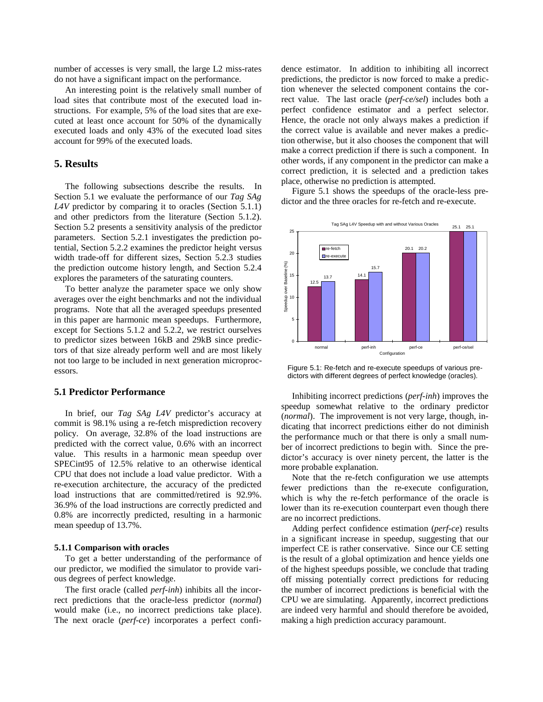number of accesses is very small, the large L2 miss-rates do not have a significant impact on the performance.

An interesting point is the relatively small number of load sites that contribute most of the executed load instructions. For example, 5% of the load sites that are executed at least once account for 50% of the dynamically executed loads and only 43% of the executed load sites account for 99% of the executed loads.

# **5. Results**

The following subsections describe the results. In Section 5.1 we evaluate the performance of our *Tag SAg L4V* predictor by comparing it to oracles (Section 5.1.1) and other predictors from the literature (Section 5.1.2). Section 5.2 presents a sensitivity analysis of the predictor parameters. Section 5.2.1 investigates the prediction potential, Section 5.2.2 examines the predictor height versus width trade-off for different sizes, Section 5.2.3 studies the prediction outcome history length, and Section 5.2.4 explores the parameters of the saturating counters.

To better analyze the parameter space we only show averages over the eight benchmarks and not the individual programs. Note that all the averaged speedups presented in this paper are harmonic mean speedups. Furthermore, except for Sections 5.1.2 and 5.2.2, we restrict ourselves to predictor sizes between 16kB and 29kB since predictors of that size already perform well and are most likely not too large to be included in next generation microprocessors.

### **5.1 Predictor Performance**

In brief, our *Tag SAg L4V* predictor's accuracy at commit is 98.1% using a re-fetch misprediction recovery policy. On average, 32.8% of the load instructions are predicted with the correct value, 0.6% with an incorrect value. This results in a harmonic mean speedup over SPECint95 of 12.5% relative to an otherwise identical CPU that does not include a load value predictor. With a re-execution architecture, the accuracy of the predicted load instructions that are committed/retired is 92.9%. 36.9% of the load instructions are correctly predicted and 0.8% are incorrectly predicted, resulting in a harmonic mean speedup of 13.7%.

### **5.1.1 Comparison with oracles**

To get a better understanding of the performance of our predictor, we modified the simulator to provide various degrees of perfect knowledge.

The first oracle (called *perf-inh*) inhibits all the incorrect predictions that the oracle-less predictor (*normal*) would make (i.e., no incorrect predictions take place). The next oracle (*perf-ce*) incorporates a perfect confidence estimator. In addition to inhibiting all incorrect predictions, the predictor is now forced to make a prediction whenever the selected component contains the correct value. The last oracle (*perf-ce/sel*) includes both a perfect confidence estimator and a perfect selector. Hence, the oracle not only always makes a prediction if the correct value is available and never makes a prediction otherwise, but it also chooses the component that will make a correct prediction if there is such a component. In other words, if any component in the predictor can make a correct prediction, it is selected and a prediction takes place, otherwise no prediction is attempted.

Figure 5.1 shows the speedups of the oracle-less predictor and the three oracles for re-fetch and re-execute.



Figure 5.1: Re-fetch and re-execute speedups of various predictors with different degrees of perfect knowledge (oracles).

Inhibiting incorrect predictions (*perf-inh*) improves the speedup somewhat relative to the ordinary predictor (*normal*). The improvement is not very large, though, indicating that incorrect predictions either do not diminish the performance much or that there is only a small number of incorrect predictions to begin with. Since the predictor's accuracy is over ninety percent, the latter is the more probable explanation.

Note that the re-fetch configuration we use attempts fewer predictions than the re-execute configuration, which is why the re-fetch performance of the oracle is lower than its re-execution counterpart even though there are no incorrect predictions.

Adding perfect confidence estimation (*perf-ce*) results in a significant increase in speedup, suggesting that our imperfect CE is rather conservative. Since our CE setting is the result of a global optimization and hence yields one of the highest speedups possible, we conclude that trading off missing potentially correct predictions for reducing the number of incorrect predictions is beneficial with the CPU we are simulating. Apparently, incorrect predictions are indeed very harmful and should therefore be avoided, making a high prediction accuracy paramount.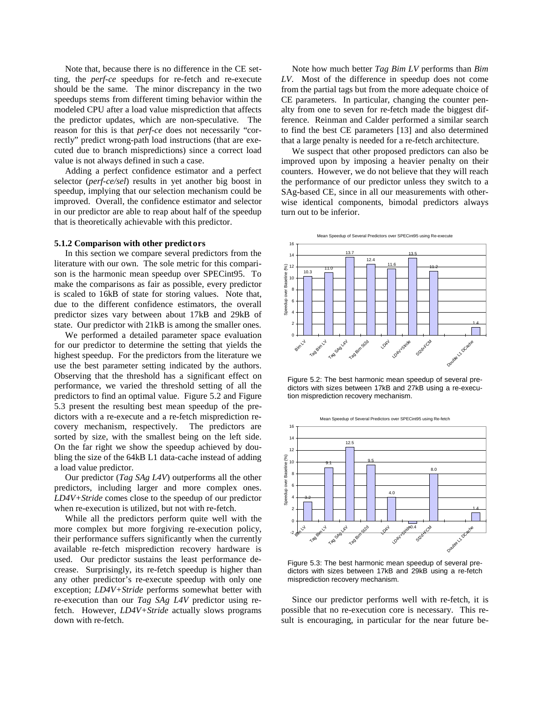Note that, because there is no difference in the CE setting, the *perf-ce* speedups for re-fetch and re-execute should be the same. The minor discrepancy in the two speedups stems from different timing behavior within the modeled CPU after a load value misprediction that affects the predictor updates, which are non-speculative. The reason for this is that *perf-ce* does not necessarily "correctly" predict wrong-path load instructions (that are executed due to branch mispredictions) since a correct load value is not always defined in such a case.

Adding a perfect confidence estimator and a perfect selector (*perf-ce/sel*) results in yet another big boost in speedup, implying that our selection mechanism could be improved. Overall, the confidence estimator and selector in our predictor are able to reap about half of the speedup that is theoretically achievable with this predictor.

#### **5.1.2 Comparison with other predictors**

In this section we compare several predictors from the literature with our own. The sole metric for this comparison is the harmonic mean speedup over SPECint95. To make the comparisons as fair as possible, every predictor is scaled to 16kB of state for storing values. Note that, due to the different confidence estimators, the overall predictor sizes vary between about 17kB and 29kB of state. Our predictor with 21kB is among the smaller ones.

We performed a detailed parameter space evaluation for our predictor to determine the setting that yields the highest speedup. For the predictors from the literature we use the best parameter setting indicated by the authors. Observing that the threshold has a significant effect on performance, we varied the threshold setting of all the predictors to find an optimal value. Figure 5.2 and Figure 5.3 present the resulting best mean speedup of the predictors with a re-execute and a re-fetch misprediction recovery mechanism, respectively. The predictors are sorted by size, with the smallest being on the left side. On the far right we show the speedup achieved by doubling the size of the 64kB L1 data-cache instead of adding a load value predictor.

Our predictor (*Tag SAg L4V*) outperforms all the other predictors, including larger and more complex ones. *LD4V+Stride* comes close to the speedup of our predictor when re-execution is utilized, but not with re-fetch.

While all the predictors perform quite well with the more complex but more forgiving re-execution policy, their performance suffers significantly when the currently available re-fetch misprediction recovery hardware is used. Our predictor sustains the least performance decrease. Surprisingly, its re-fetch speedup is higher than any other predictor's re-execute speedup with only one exception; *LD4V+Stride* performs somewhat better with re-execution than our *Tag SAg L4V* predictor using refetch. However, *LD4V+Stride* actually slows programs down with re-fetch.

Note how much better *Tag Bim LV* performs than *Bim LV*. Most of the difference in speedup does not come from the partial tags but from the more adequate choice of CE parameters. In particular, changing the counter penalty from one to seven for re-fetch made the biggest difference. Reinman and Calder performed a similar search to find the best CE parameters [13] and also determined that a large penalty is needed for a re-fetch architecture.

We suspect that other proposed predictors can also be improved upon by imposing a heavier penalty on their counters. However, we do not believe that they will reach the performance of our predictor unless they switch to a SAg-based CE, since in all our measurements with otherwise identical components, bimodal predictors always turn out to be inferior.





Figure 5.2: The best harmonic mean speedup of several predictors with sizes between 17kB and 27kB using a re-execution misprediction recovery mechanism.



Figure 5.3: The best harmonic mean speedup of several predictors with sizes between 17kB and 29kB using a re-fetch misprediction recovery mechanism.

Since our predictor performs well with re-fetch, it is possible that no re-execution core is necessary. This result is encouraging, in particular for the near future be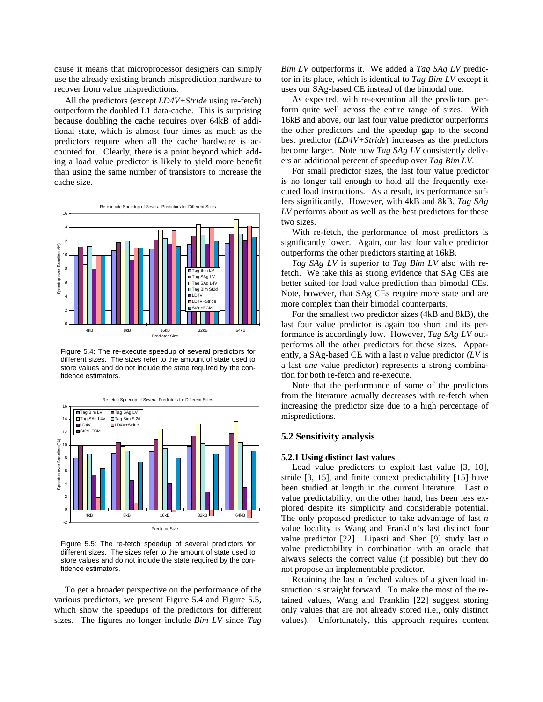cause it means that microprocessor designers can simply use the already existing branch misprediction hardware to recover from value mispredictions.

All the predictors (except *LD4V+Stride* using re-fetch) outperform the doubled L1 data-cache. This is surprising because doubling the cache requires over 64kB of additional state, which is almost four times as much as the predictors require when all the cache hardware is accounted for. Clearly, there is a point beyond which adding a load value predictor is likely to yield more benefit than using the same number of transistors to increase the cache size.



Figure 5.4: The re-execute speedup of several predictors for different sizes. The sizes refer to the amount of state used to store values and do not include the state required by the confidence estimators.



Figure 5.5: The re-fetch speedup of several predictors for different sizes. The sizes refer to the amount of state used to store values and do not include the state required by the confidence estimators.

To get a broader perspective on the performance of the various predictors, we present Figure 5.4 and Figure 5.5, which show the speedups of the predictors for different sizes. The figures no longer include *Bim LV* since *Tag*

*Bim LV* outperforms it. We added a *Tag SAg LV* predictor in its place, which is identical to *Tag Bim LV* except it uses our SAg-based CE instead of the bimodal one.

As expected, with re-execution all the predictors perform quite well across the entire range of sizes. With 16kB and above, our last four value predictor outperforms the other predictors and the speedup gap to the second best predictor (*LD4V+Stride*) increases as the predictors become larger. Note how *Tag SAg LV* consistently delivers an additional percent of speedup over *Tag Bim LV*.

For small predictor sizes, the last four value predictor is no longer tall enough to hold all the frequently executed load instructions. As a result, its performance suffers significantly. However, with 4kB and 8kB, *Tag SAg LV* performs about as well as the best predictors for these two sizes.

With re-fetch, the performance of most predictors is significantly lower. Again, our last four value predictor outperforms the other predictors starting at 16kB.

*Tag SAg LV* is superior to *Tag Bim LV* also with refetch. We take this as strong evidence that SAg CEs are better suited for load value prediction than bimodal CEs. Note, however, that SAg CEs require more state and are more complex than their bimodal counterparts.

For the smallest two predictor sizes (4kB and 8kB), the last four value predictor is again too short and its performance is accordingly low. However, *Tag SAg LV* outperforms all the other predictors for these sizes. Apparently, a SAg-based CE with a last *n* value predictor (*LV* is a last *one* value predictor) represents a strong combination for both re-fetch and re-execute.

Note that the performance of some of the predictors from the literature actually decreases with re-fetch when increasing the predictor size due to a high percentage of mispredictions.

### **5.2 Sensitivity analysis**

### **5.2.1 Using distinct last values**

Load value predictors to exploit last value [3, 10], stride [3, 15], and finite context predictability [15] have been studied at length in the current literature. Last *n* value predictability, on the other hand, has been less explored despite its simplicity and considerable potential. The only proposed predictor to take advantage of last *n* value locality is Wang and Franklin's last distinct four value predictor [22]. Lipasti and Shen [9] study last *n* value predictability in combination with an oracle that always selects the correct value (if possible) but they do not propose an implementable predictor.

Retaining the last *n* fetched values of a given load instruction is straight forward. To make the most of the retained values, Wang and Franklin [22] suggest storing only values that are not already stored (i.e., only distinct values). Unfortunately, this approach requires content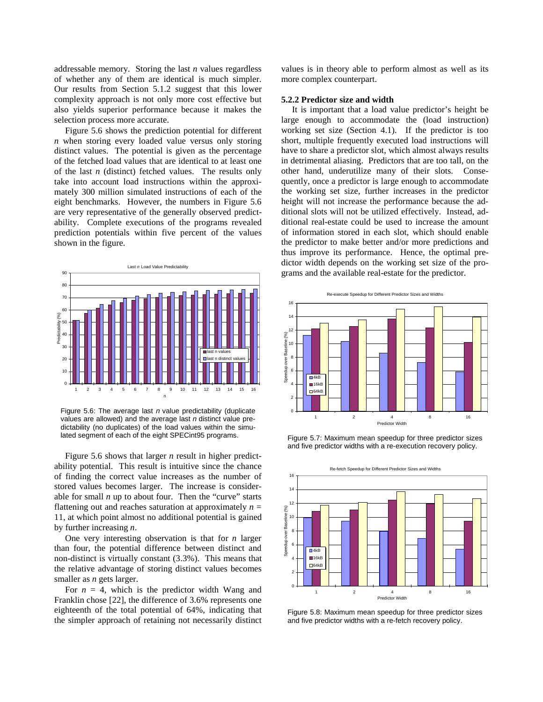addressable memory. Storing the last *n* values regardless of whether any of them are identical is much simpler. Our results from Section 5.1.2 suggest that this lower complexity approach is not only more cost effective but also yields superior performance because it makes the selection process more accurate.

Figure 5.6 shows the prediction potential for different *n* when storing every loaded value versus only storing distinct values. The potential is given as the percentage of the fetched load values that are identical to at least one of the last *n* (distinct) fetched values. The results only take into account load instructions within the approximately 300 million simulated instructions of each of the eight benchmarks. However, the numbers in Figure 5.6 are very representative of the generally observed predictability. Complete executions of the programs revealed prediction potentials within five percent of the values shown in the figure.



Figure 5.6: The average last  $n$  value predictability (duplicate values are allowed) and the average last  $n$  distinct value predictability (no duplicates) of the load values within the simulated segment of each of the eight SPECint95 programs.

Figure 5.6 shows that larger *n* result in higher predictability potential. This result is intuitive since the chance of finding the correct value increases as the number of stored values becomes larger. The increase is considerable for small  $n$  up to about four. Then the "curve" starts flattening out and reaches saturation at approximately  $n =$ 11, at which point almost no additional potential is gained by further increasing *n*.

One very interesting observation is that for *n* larger than four, the potential difference between distinct and non-distinct is virtually constant (3.3%). This means that the relative advantage of storing distinct values becomes smaller as *n* gets larger.

For  $n = 4$ , which is the predictor width Wang and Franklin chose [22], the difference of 3.6% represents one eighteenth of the total potential of 64%, indicating that the simpler approach of retaining not necessarily distinct

values is in theory able to perform almost as well as its more complex counterpart.

#### **5.2.2 Predictor size and width**

It is important that a load value predictor's height be large enough to accommodate the (load instruction) working set size (Section 4.1). If the predictor is too short, multiple frequently executed load instructions will have to share a predictor slot, which almost always results in detrimental aliasing. Predictors that are too tall, on the other hand, underutilize many of their slots. Consequently, once a predictor is large enough to accommodate the working set size, further increases in the predictor height will not increase the performance because the additional slots will not be utilized effectively. Instead, additional real-estate could be used to increase the amount of information stored in each slot, which should enable the predictor to make better and/or more predictions and thus improve its performance. Hence, the optimal predictor width depends on the working set size of the programs and the available real-estate for the predictor.



Figure 5.7: Maximum mean speedup for three predictor sizes and five predictor widths with a re-execution recovery policy.



Figure 5.8: Maximum mean speedup for three predictor sizes and five predictor widths with a re-fetch recovery policy.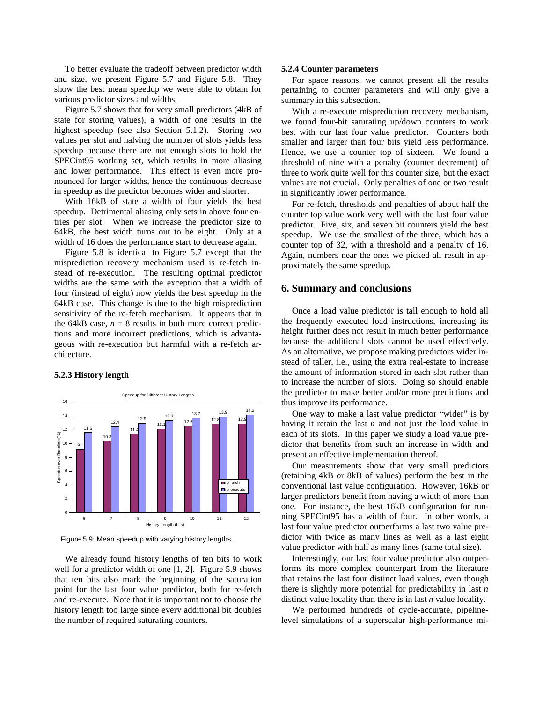To better evaluate the tradeoff between predictor width and size, we present Figure 5.7 and Figure 5.8. They show the best mean speedup we were able to obtain for various predictor sizes and widths.

Figure 5.7 shows that for very small predictors (4kB of state for storing values), a width of one results in the highest speedup (see also Section 5.1.2). Storing two values per slot and halving the number of slots yields less speedup because there are not enough slots to hold the SPECint95 working set, which results in more aliasing and lower performance. This effect is even more pronounced for larger widths, hence the continuous decrease in speedup as the predictor becomes wider and shorter.

With 16kB of state a width of four yields the best speedup. Detrimental aliasing only sets in above four entries per slot. When we increase the predictor size to 64kB, the best width turns out to be eight. Only at a width of 16 does the performance start to decrease again.

Figure 5.8 is identical to Figure 5.7 except that the misprediction recovery mechanism used is re-fetch instead of re-execution. The resulting optimal predictor widths are the same with the exception that a width of four (instead of eight) now yields the best speedup in the 64kB case. This change is due to the high misprediction sensitivity of the re-fetch mechanism. It appears that in the 64kB case,  $n = 8$  results in both more correct predictions and more incorrect predictions, which is advantageous with re-execution but harmful with a re-fetch architecture.

#### **5.2.3 History length**



Figure 5.9: Mean speedup with varying history lengths.

We already found history lengths of ten bits to work well for a predictor width of one [1, 2]. Figure 5.9 shows that ten bits also mark the beginning of the saturation point for the last four value predictor, both for re-fetch and re-execute. Note that it is important not to choose the history length too large since every additional bit doubles the number of required saturating counters.

#### **5.2.4 Counter parameters**

For space reasons, we cannot present all the results pertaining to counter parameters and will only give a summary in this subsection.

With a re-execute misprediction recovery mechanism, we found four-bit saturating up/down counters to work best with our last four value predictor. Counters both smaller and larger than four bits yield less performance. Hence, we use a counter top of sixteen. We found a threshold of nine with a penalty (counter decrement) of three to work quite well for this counter size, but the exact values are not crucial. Only penalties of one or two result in significantly lower performance.

For re-fetch, thresholds and penalties of about half the counter top value work very well with the last four value predictor. Five, six, and seven bit counters yield the best speedup. We use the smallest of the three, which has a counter top of 32, with a threshold and a penalty of 16. Again, numbers near the ones we picked all result in approximately the same speedup.

### **6. Summary and conclusions**

Once a load value predictor is tall enough to hold all the frequently executed load instructions, increasing its height further does not result in much better performance because the additional slots cannot be used effectively. As an alternative, we propose making predictors wider instead of taller, i.e., using the extra real-estate to increase the amount of information stored in each slot rather than to increase the number of slots. Doing so should enable the predictor to make better and/or more predictions and thus improve its performance.

One way to make a last value predictor "wider" is by having it retain the last *n* and not just the load value in each of its slots. In this paper we study a load value predictor that benefits from such an increase in width and present an effective implementation thereof.

Our measurements show that very small predictors (retaining 4kB or 8kB of values) perform the best in the conventional last value configuration. However, 16kB or larger predictors benefit from having a width of more than one. For instance, the best 16kB configuration for running SPECint95 has a width of four. In other words, a last four value predictor outperforms a last two value predictor with twice as many lines as well as a last eight value predictor with half as many lines (same total size).

Interestingly, our last four value predictor also outperforms its more complex counterpart from the literature that retains the last four distinct load values, even though there is slightly more potential for predictability in last *n* distinct value locality than there is in last *n* value locality.

We performed hundreds of cycle-accurate, pipelinelevel simulations of a superscalar high-performance mi